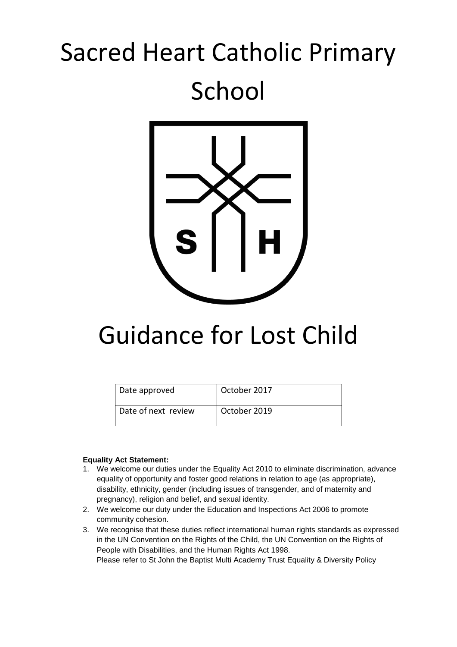# Sacred Heart Catholic Primary School



# Guidance for Lost Child

| Date approved       | October 2017 |
|---------------------|--------------|
| Date of next review | October 2019 |

#### **Equality Act Statement:**

- 1. We welcome our duties under the Equality Act 2010 to eliminate discrimination, advance equality of opportunity and foster good relations in relation to age (as appropriate), disability, ethnicity, gender (including issues of transgender, and of maternity and pregnancy), religion and belief, and sexual identity.
- 2. We welcome our duty under the Education and Inspections Act 2006 to promote community cohesion.
- 3. We recognise that these duties reflect international human rights standards as expressed in the UN Convention on the Rights of the Child, the UN Convention on the Rights of People with Disabilities, and the Human Rights Act 1998. Please refer to St John the Baptist Multi Academy Trust Equality & Diversity Policy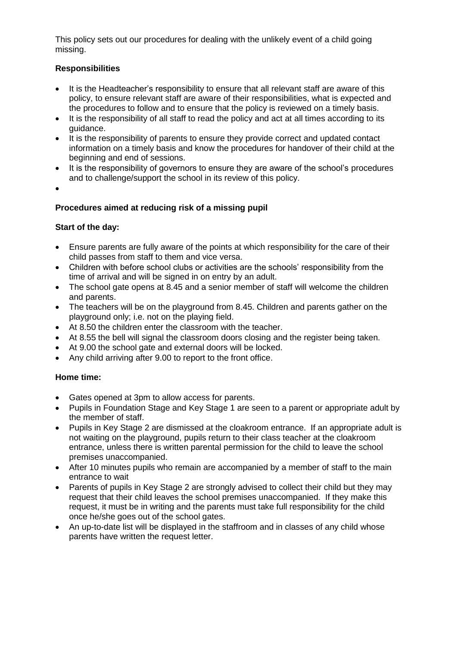This policy sets out our procedures for dealing with the unlikely event of a child going missing.

## **Responsibilities**

- It is the Headteacher's responsibility to ensure that all relevant staff are aware of this policy, to ensure relevant staff are aware of their responsibilities, what is expected and the procedures to follow and to ensure that the policy is reviewed on a timely basis.
- It is the responsibility of all staff to read the policy and act at all times according to its guidance.
- It is the responsibility of parents to ensure they provide correct and updated contact information on a timely basis and know the procedures for handover of their child at the beginning and end of sessions.
- It is the responsibility of governors to ensure they are aware of the school's procedures and to challenge/support the school in its review of this policy.
- $\bullet$

#### **Procedures aimed at reducing risk of a missing pupil**

#### **Start of the day:**

- Ensure parents are fully aware of the points at which responsibility for the care of their child passes from staff to them and vice versa.
- Children with before school clubs or activities are the schools' responsibility from the time of arrival and will be signed in on entry by an adult.
- The school gate opens at 8.45 and a senior member of staff will welcome the children and parents.
- The teachers will be on the playground from 8.45. Children and parents gather on the playground only; i.e. not on the playing field.
- At 8.50 the children enter the classroom with the teacher.
- At 8.55 the bell will signal the classroom doors closing and the register being taken.
- At 9.00 the school gate and external doors will be locked.
- Any child arriving after 9.00 to report to the front office.

#### **Home time:**

- Gates opened at 3pm to allow access for parents.
- Pupils in Foundation Stage and Key Stage 1 are seen to a parent or appropriate adult by the member of staff.
- Pupils in Key Stage 2 are dismissed at the cloakroom entrance. If an appropriate adult is not waiting on the playground, pupils return to their class teacher at the cloakroom entrance, unless there is written parental permission for the child to leave the school premises unaccompanied.
- After 10 minutes pupils who remain are accompanied by a member of staff to the main entrance to wait
- Parents of pupils in Key Stage 2 are strongly advised to collect their child but they may request that their child leaves the school premises unaccompanied. If they make this request, it must be in writing and the parents must take full responsibility for the child once he/she goes out of the school gates.
- An up-to-date list will be displayed in the staffroom and in classes of any child whose parents have written the request letter.